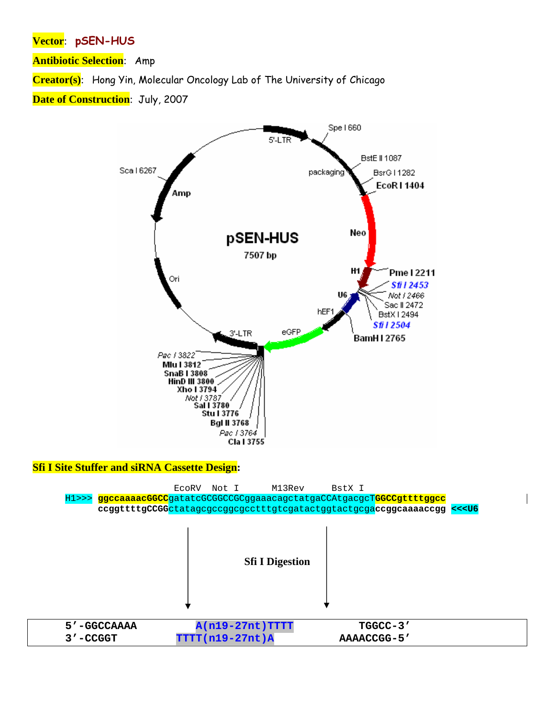## Vector: pSEN-HUS

**Antibiotic Selection:** Amp

Creator(s): Hong Yin, Molecular Oncology Lab of The University of Chicago

Date of Construction: July, 2007



## **Sfi I Site Stuffer and siRNA Cassette Design:**

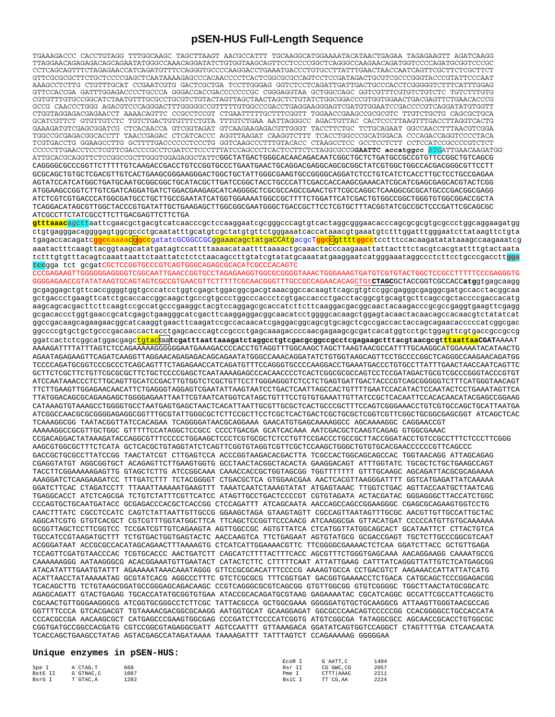## **pSEN-HUS Full-Length Sequence**

TGAAAGACCC CACCTGTAGG TTTGGCAAGC TAGCTTAAGT AACGCCATTT TGCAAGGCATGGAAAATACATAACTGAGAA TAGAGAAGTT AGATCAAGG TTAGGAACAGAGAGACAGCAGAATATGGGCCAAACAGGATATCTGTGGTAAGCAGTTCCTCCCCGGCTCAGGGCCAAGAACAGATGGTCCCCAGATGCGGTCCCGC CCTCAGCAGTTTCTAGAGAACCATCAGATGTTTCCAGGGTGCCCCAAGGACCTGAAATGACCCTGTGCCTTATTTGAACTAACCAATCAGTTCGCTTCTCGCTTCT GTTCGCGCGCTTCTGCTCCCCGAGCTCAATAAAAGAGCCCACAACCCCTCACTCGGCGCGCCAGTCCTCCGATAGACTGCGTCGCCCGGGTACCCGTATTCCCAAT AAAGCCTCTTG CTGTTTGCAT CCGAATCGTG GACTCGCTGA TCCTTGGGAG GGTCTCCTCAGATTGATTGACTGCCCACCTCGGGGGTCTTTCATTTGGAG GTTCCACCGA GATTTGGAGACCCCTGCCCA GGGACCACCGACCCCCCCGC CGGGAGGTAA GCTGGCCAGC GGTCGTTTCGTGTCTGTCTC TGTCTTTGTG CGTGTTTGTGCCGGCATCTAATGTTTGCGCCTGCGTCTGTACTAGTTAGCTAACTAGCTCTGTATCTGGCGGACCCGTGGTGGAACTGACGAGTTCTGAACACCCG GCCG CAACCCTGGG AGACGTCCCAGGGACTTTGGGGGCCGTTTTTGTGGCCCGACCTGAGGAAGGGAGTCGATGTGGAATCCGACCCCGTCAGGATATGTGGTT CTGGTAGGAGACGAGAACCT AAAACAGTTC CCGCCTCCGT CTGAATTTTTGCTTTCGGTT TGGAACCGAAGCCGCGCGTC TTGTCTGCTG CAGCGCTGCA GCATCGTTCT GTGTTGTCTC TGTCTGACTGTGTTTCTGTA TTTGTCTGAA AATTAGGGCC AGACTGTTAC CACTCCCTTAAGTTTGACCTTAGGTCACTG GAAAGATGTCGAGCGGATCG CTCACAACCA GTCGGTAGAT GTCAAGAAGAGACGTTGGGT TACCTTCTGC TCTGCAGAAT GGCCAACCTTTAACGTCGGA TGGCCGCGAGACGGCACCTT TAACCGAGAC CTCATCACCC AGGTTAAGAT CAAGGTCTTT TCACCTGGCCCGCATGGACA CCCAGACCAGGTCCCCTACA TCGTGACCTG GGAAGCCTTG GCTTTTGACCCCCCTCCCTG GGTCAAGCCCTTTGTACACC CTAAGCCTCC GCCTCCTCTT CCTCCATCCGCCCCGTCTCT CCCCCTTGAACCTCCTCGTTCGACCCCGCCTCGATCCTCCCTTTATCCAGCCCTCACTCCTTCTCTAGGCGCCG**GAATTC accatggcc** ATGATTGAACAAGATGG ATTGCACGCAGGTTCTCCGGCCGCTTGGGTGGAGAGGCTATTCGGCTATGACTGGGCACAACAGACAATCGGCTGCTCTGATGCCGCCGTGTTCCGGCTGTCAGCG CAGGGGCGCCCGGTTCTTTTTGTCAAGACCGACCTGTCCGGTGCCCTGAATGAACTGCAGGACGAGGCAGCGCGGCTATCGTGGCTGGCCACGACGGGCGTTCCTT GCGCAGCTGTGCTCGACGTTGTCACTGAAGCGGGAAGGGACTGGCTGCTATTGGGCGAAGTGCCGGGGCAGGATCTCCTGTCATCTCACCTTGCTCCTGCCGAGAA AGTATCCATCATGGCTGATGCAATGCGGCGGCTGCATACGCTTGATCCGGCTACCTGCCCATTCGACCACCAAGCGAAACATCGCATCGAGCGAGCACGTACTCGG ATGGAAGCCGGTCTTGTCGATCAGGATGATCTGGACGAAGAGCATCAGGGGCTCGCGCCAGCCGAACTGTTCGCCAGGCTCAAGGCGCGCATGCCCGACGGCGAGG ATCTCGTCGTGACCCATGGCGATGCCTGCTTGCCGAATATCATGGTGGAAAATGGCCGCTTTTCTGGATTCATCGACTGTGGCCGGCTGGGTGTGGCGGACCGCTA TCAGGACATAGCGTTGGCTACCCGTGATATTGCTGAAGAGCTTGGCGGCGAATGGGCTGACCGCTTCCTCGTGCTTTACGGTATCGCCGCTCCCGATTCGCAGCGC ATCGCCTTCTATCGCCTTCTTGACGAGTTCTTCTGA

**gtttaaac**agcttaattcgaacgctgacgtcatcaacccgctccaaggaatcgcgggcccagtgtcactaggcgggaacacccagcgcgcgtgcgccctggcaggaagatgg ctgtgagggacaggggagtggcgccctgcaatatttgcatgtcgctatgtgttctgggaaatcaccataaacgtgaaatgtctttggatttgggaatcttataagttctgta tgagaccacagatc**ggcc**aaaac**ggcc**gatatcGCGGCCGCggaaacagctatgaCCAtgacgcT**ggcc**gtttt**ggcc**tcctttccacaagatatataaagccaagaaatcg aaatactttcaagttacggtaagcatatgatagtccattttaaaacataattttaaaactgcaaactacccaagaaattattactttctacgtcacgtattttgtactaata tctttgtgtttacagtcaaattaattctaattatctctctaacagccttgtatcgtatatgcaaatatgaaggaatcatgggaaataggccctcttcctgcccgacctt**gga tcc**gga tct gcgatCGCTCCGGTGCCCGTCAGTGGGCAGAGCGCACATCGCCCACAGTC

CCCGAGAAGTTGGGGGGAGGGGTCGGCAATTGAACCGGTGCCTAGAGAAGGTGGCGCGGGGTAAACTGGGAAAGTGATGTCGTGTACTGGCTCCGCCTTTTTCCCGAGGGTG GGGGAGAACCGTATATAAGTGCAGTAGTCGCCGTGAACGTTCTTTTTCGCAACGGGTTTGCCGCCAGAACACAGCTGt**CTAGC**GCTACCGGTCGCCACC**atg**gtgagcaagg gcgaggagctgttcaccggggtggtgcccatcctggtcgagctggacggcgacgtaaacggccacaagttcagcgtgtccggcgagggcgagggcgatgccacctacggcaa gctgaccctgaagttcatctgcaccaccggcaagctgcccgtgccctggcccaccctcgtgaccaccctgacctacggcgtgcagtgcttcagccgctaccccgaccacatg aagcagcacgacttcttcaagtccgccatgcccgaaggctacgtccaggagcgcaccatcttcttcaaggacgacgactacaagacccgcgcgaggtgaagttcgagg gcgacaccctggtgaaccgcatcgagctgaagggcatcgacttcaaggaggacggcaacatcctggggcacaagctggagtacaactacaacagccacaacgtctatatcat ggccgacaagcagaagaacggcatcaaggtgaacttcaagatccgccacaacatcgaggacggcagcgtgcagctcgccgaccactaccagcagaacacccccatcggcgac ggccccgtgctgctgcccgacaaccactacctgagcacccagtccgccctgagcaaagaccccaacgagaagcgcgatcacatggtcctgctggagttcgtgaccgccgccg ggatcactctcggcatggacgagctgtactaa**tcgatttaattaaagatctaggcctgtcgacgcggccgcctcgagaagctttacgtaacgcgtttaattaaCGAT**AAAAT AAAAGATTTTATTTAGTCTCCAGAAAAAGGGGGGAATGAAAGACCCCACCTGTAGGTTTGGCAAGCTAGCTTAAGTAACGCCATTTTGCAAGGCATGGAAAATACATAACTG AGAATAGAGAAGTTCAGATCAAGGTTAGGAACAGAGAGACAGCAGAATATGGGCCAAACAGGATATCTGTGGTAAGCAGTTCCTGCCCCGGCTCAGGGCCAAGAACAGATGG TCCCCAGATGCGGTCCCGCCCTCAGCAGTTTCTAGAGAACCATCAGATGTTTCCAGGGTGCCCCAAGGACCTGAAATGACCCTGTGCCTTATTTGAACTAACCAATCAGTTC GCTTCTCGCTTCTGTTCGCGCGCTTCTGCTCCCCGAGCTCAATAAAAGAGCCCACAACCCCTCACTCGGCGCGCCAGTCCTCCGATAGACTGCGTCGCCCGGGTACCCGTGT ATCCAATAAACCCTCTTGCAGTTGCATCCGACTTGTGGTCTCGCTGTTCCTTGGGAGGGTCTCCTCTGAGTGATTGACTACCCGTCAGCGGGGGTCTTTCATGGGTAACAGT TTCTTGAAGTTGGAGAACAACATTCTGAGGGTAGGAGTCGAATATTAAGTAATCCTGACTCAATTAGCCACTGTTTTGAATCCACATACTCCAATACTCCTGAAATAGTTCA TTATGGACAGCGCAGAAGAGCTGGGGAGAATTAATTCGTAATCATGGTCATAGCTGTTTCCTGTGTGAAATTGTTATCCGCTCACAATTCCACACAACATACGAGCCGGAAG CATAAAGTGTAAAGCCTGGGGTGCCTAATGAGTGAGCTAACTCACATTAATTGCGTTGCGCTCACTGCCCGCTTTCCAGTCGGGAAACCTGTCGTGCCAGCTGCATTAATGA ATCGGCCAACGCGCGGGGAGAGGCGGTTTGCGTATTGGGCGCTCTTCCGCTTCCTCGCTCACTGACTCGCTGCGCTCGGTCGTTCGGCTGCGGCGAGCGGT ATCAGCTCAC TCAAAGGCGG TAATACGGTTATCCACAGAA TCAGGGGATAACGCAGGAAA GAACATGTGAGCAAAAGGCC AGCAAAAGGC CAGGAACCGT AAAAAGGCCGCGTTGCTGGC GTTTTTCCATAGGCTCCGCC CCCCTGACGA GCATCACAAA AATCGACGCTCAAGTCAGAG GTGGCGAAAC CCGACAGGACTATAAAGATACCAGGCGTTTCCCCCTGGAAGCTCCCTCGTGCGCTCTCCTGTTCCGACCCTGCCGCTTACCGGATACCTGTCCGCCTTTCTCCCTTCGGG AAGCGTGGCGCTTTCTCATA GCTCACGCTGTAGGTATCTCAGTTCGGTGTAGGTCGTTCGCTCCAAGCTGGGCTGTGTGCACGAACCCCCCGTTCAGCCC GACCGCTGCGCCTTATCCGG TAACTATCGT CTTGAGTCCA ACCCGGTAAGACACGACTTA TCGCCACTGGCAGCAGCCAC TGGTAACAGG ATTAGCAGAG CGAGGTATGT AGGCGGTGCT ACAGAGTTCTTGAAGTGGTG GCCTAACTACGGCTACACTA GAAGGACAGT ATTTGGTATC TGCGCTCTGCTGAAGCCAGT TACCTTCGGAAAAAGAGTTG GTAGCTCTTG ATCCGGCAAA CAAACCACCGCTGGTAGCGG TGGTTTTTTT GTTTGCAAGC AGCAGATTACGCGCAGAAAA AAAGGATCTCAAGAAGATCC TTTGATCTTT TCTACGGGGT CTGACGCTCA GTGGAACGAA AACTCACGTTAAGGGATTTT GGTCATGAGATTATCAAAAA GGATCTTCAC CTAGATCCTT TTAAATTAAAAATGAAGTTT TAAATCAATCTAAAGTATAT ATGAGTAAAC TTGGTCTGAC AGTTACCAATGCTTAATCAG TGAGGCACCT ATCTCAGCGA TCTGTCTATTTCGTTCATCC ATAGTTGCCTGACTCCCCGT CGTGTAGATA ACTACGATAC GGGAGGGCTTACCATCTGGC CCCAGTGCTGCAATGATACC GCGAGACCCACGCTCACCGG CTCCAGATTT ATCAGCAATA AACCAGCCAGCCGGAAGGGC CGAGCGCAGAAGTGGTCCTG CAACTTTATC CGCCTCCATC CAGTCTATTAATTGTTGCCG GGAAGCTAGA GTAAGTAGTT CGCCAGTTAATAGTTTGCGC AACGTTGTTGCCATTGCTAC AGGCATCGTG GTGTCACGCT CGTCGTTTGGTATGGCTTCA TTCAGCTCCGGTTCCCAACG ATCAAGGCGA GTTACATGAT CCCCCATGTTGTGCAAAAAA GCGGTTAGCTCCTTCGGTCC TCCGATCGTTGTCAGAAGTA AGTTGGCCGC AGTGTTATCA CTCATGGTTATGGCAGCACT GCATAATTCT CTTACTGTCA TGCCATCCGTAAGATGCTTT TCTGTGACTGGTGAGTACTC AACCAAGTCA TTCTGAGAAT AGTGTATGCG GCGACCGAGT TGCTCTTGCCCGGCGTCAAT ACGGGATAAT ACCGCGCCACATAGCAGAACTTTAAAAGTG CTCATCATTGGAAAACGTTC TTCGGGGCGAAAACTCTCAA GGATCTTACC GCTGTTGAGA TCCAGTTCGATGTAACCCAC TCGTGCACCC AACTGATCTT CAGCATCTTTTACTTTCACC AGCGTTTCTGGGTGAGCAAA AACAGGAAGG CAAAATGCCG CAAAAAAGGG AATAAGGGCG ACACGGAAATGTTGAATACT CATACTCTTC CTTTTTCAAT ATTATTGAAG CATTTATCAGGGTTATTGTCTCATGAGCGG ATACATATTTGAATGTATTT AGAAAAATAAACAAATAGGG GTTCCGCGCACATTTCCCCG AAAAGTGCCA CCTGACGTCT AAGAAACCATTATTATCATG ACATTAACCTATAAAAATAG GCGTATCACG AGGCCCTTTC GTCTCGCGCG TTTCGGTGAT GACGGTGAAAACCTCTGACA CATGCAGCTCCCGGAGACGG TCACAGCTTG TCTGTAAGCGGATGCCGGGAGCAGACAAGC CCGTCAGGGCGCGTCAGCGG GTGTTGGCGG GTGTCGGGGC TGGCTTAACTATGCGGCATC AGAGCAGATT GTACTGAGAG TGCACCATATGCGGTGTGAA ATACCGCACAGATGCGTAAG GAGAAAATAC CGCATCAGGC GCCATTCGCCATTCAGGCTG CGCAACTGTTGGGAAGGGCG ATCGGTGCGGGCCTCTTCGC TATTACGCCA GCTGGCGAAA GGGGGATGTGCTGCAAGGCG ATTAAGTTGGGTAACGCCAG GGTTTTCCCA GTCACGACGT TGTAAAACGACGGCGCAAGG AATGGTGCAT GCAAGGAGAT GGCGCCCAACAGTCCCCCGG CCACGGGGCCTGCCACCATA CCCACGCCGA AACAAGCGCT CATGAGCCCGAAGTGGCGAG CCCGATCTTCCCCATCGGTG ATGTCGGCGA TATAGGCGCC AGCAACCGCACCTGTGGCGC CGGTGATGCCGGCCACGATG CGTCCGGCGTAGAGGCGATT AGTCCAATTT GTTAAAGACA GGATATCAGTGGTCCAGGCT CTAGTTTTGA CTCAACAATA TCACCAGCTGAAGCCTATAG AGTACGAGCCATAGATAAAA TAAAAGATTT TATTTAGTCT CCAGAAAAAG GGGGGAA

## **Unique enzymes in pSEN-HUS:**

|         |           |      | ECOR I | G`AATT.C    | 1404 |
|---------|-----------|------|--------|-------------|------|
| Spe I   | A`CTAG.T  | 660  | Rsr II | CG`GWC.CG   | 2057 |
| BstE II | G`GTNAC.C | 1087 | Pme I  | CTTT   AAAC | 2211 |
| BsrG I  | T`GTAC.A  | 1282 | BsiC I | TT`CG.AA    | 2224 |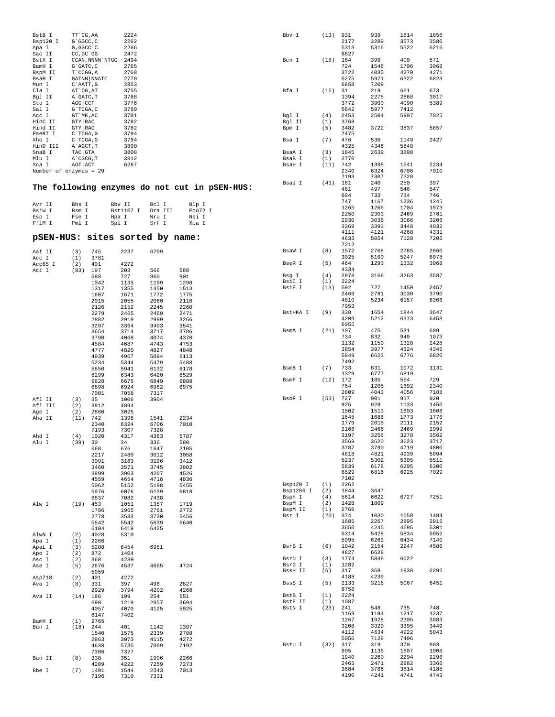| BstB I<br>Bsp120 I<br>Apa I     | TT CG, AA<br>G`GGCC, C<br>G, GGCC `C |                  | 2224<br>2262<br>2266 |              |                                               | Bbv I             | (13)       | 931<br>2177<br>5313 | 939<br>3289<br>5316 | 1614<br>3573<br>5522 | 1656<br>3580<br>6216 |
|---------------------------------|--------------------------------------|------------------|----------------------|--------------|-----------------------------------------------|-------------------|------------|---------------------|---------------------|----------------------|----------------------|
| Sac II                          | CC, GC `GG                           |                  | 2472                 |              |                                               |                   |            | 6827                |                     |                      |                      |
| BstX I                          |                                      | CCAN, NNNN `NTGG | 2494                 |              |                                               | Bcn I             | (18)       | 164                 | 399                 | 400                  | 571                  |
| BamH I                          | $G$ $GATC$ , $C$                     |                  | 2765                 |              |                                               |                   |            | 724                 | 1546                | 1706                 | 3068                 |
| BspM II                         | T`CCGG, A                            |                  | 2768                 |              |                                               |                   |            | 3722                | 4035                | 4270                 | 4271                 |
| BsaB I<br>Mun I                 | C'AATT, G                            | GATNN NNATC      | 2770<br>2853         |              |                                               |                   |            | 5275<br>6858        | 5971<br>7209        | 6322                 | 6823                 |
| Cla I                           | AT CG, AT                            |                  | 3755                 |              |                                               | Bfa I             | (15)       | 31                  | 219                 | 661                  | 673                  |
| Bgl II                          | A GATC, T                            |                  | 3768                 |              |                                               |                   |            | 1394                | 2275                | 2868                 | 3017                 |
| Stu I                           | AGG CCT                              |                  | 3776                 |              |                                               |                   |            | 3772                | 3900                | 4090                 | 5389                 |
| Sal I                           | $G$ TCGA, C                          |                  | 3780                 |              |                                               |                   |            | 5642                | 5977                | 7412                 |                      |
| Acc I                           | GT `MK, AC                           |                  | 3781                 |              |                                               | Bgl I             | (4)        | 2453                | 2504                | 5907                 | 7025                 |
| HinC II                         | GTY RAC                              |                  | 3782                 |              |                                               | Bgl II            | (1)        | 3768                |                     |                      |                      |
| Hind II                         | <b>GTY   RAC</b>                     |                  | 3782                 |              |                                               | Bpm I             | (5)        | 3482                | 3722                | 3837                 | 5857                 |
| PaeR7 I                         | C`TCGA, G                            |                  | 3794<br>3794         |              |                                               |                   |            | 7475<br>476         | 530                 | 1149                 | 2427                 |
| Xho I<br>HinD III               | $C$ TCGA, G<br>A`AGCT, T             |                  | 3800                 |              |                                               | Bsa I             | (7)        | 4325                | 4346                | 5848                 |                      |
| SnaB I                          | TAC GTA                              |                  | 3808                 |              |                                               | BsaA I            | (3)        | 1845                | 2639                | 3808                 |                      |
| Mlu I                           | A`CGCG, T                            |                  | 3812                 |              |                                               | BsaB I            | (1)        | 2770                |                     |                      |                      |
| Sca I                           | AGT ACT                              |                  | 6267                 |              |                                               | BsaH I            | (11)       | 742                 | 1398                | 1541                 | 2234                 |
| Number of enzymes = 29          |                                      |                  |                      |              |                                               |                   |            | 2340                | 6324                | 6706                 | 7010                 |
|                                 |                                      |                  |                      |              |                                               |                   |            | 7193                | 7307                | 7328                 |                      |
|                                 |                                      |                  |                      |              | The following enzymes do not cut in pSEN-HUS: | BsaJ I            | (41)       | 161                 | 240                 | 250                  | 397                  |
|                                 |                                      |                  |                      |              |                                               |                   |            | 461                 | 497                 | 546                  | 547                  |
|                                 |                                      |                  |                      |              |                                               |                   |            | 694<br>747          | 733<br>1167         | 734<br>1236          | 746<br>1245          |
| Avr II                          | Bbs I                                |                  | Bbv II               | Bcl I        | Blp I                                         |                   |            | 1265                | 1266                | 1704                 | 1973                 |
| BsiW I                          | Bsm I                                |                  | Bst1107 I            | Dra III      | Eco72 I                                       |                   |            | 2250                | 2303                | 2469                 | 2761                 |
| Esp I                           | Fse I                                |                  | Hpa I                | Nru I        | Nsi I                                         |                   |            | 2930                | 3036                | 3066                 | 3206                 |
| PflM I                          | Pml I                                |                  | Spl I                | Srf I        | Xca I                                         |                   |            | 3369                | 3393                | 3448                 | 4032                 |
|                                 |                                      |                  |                      |              |                                               |                   |            | 4111                | 4121                | 4268                 | 4331                 |
| pSEN-HUS: sites sorted by name: |                                      |                  |                      |              |                                               |                   |            | 4633                | 5054                | 7128                 | 7206                 |
|                                 |                                      |                  |                      |              |                                               |                   |            | 7212                |                     |                      |                      |
| Aat II                          | (3)                                  | 745              | 2237                 | 6709         |                                               | BsaW I            | (8)        | 1572<br>3025        | 2768<br>5100        | 2785<br>5247         | 2860<br>6078         |
| Acc I                           | (1)                                  | 3781             |                      |              |                                               | BseR I            | (5)        | 464                 | 1293                | 1332                 | 3068                 |
| Acc65 I<br>Aci I                | (2)<br>(83)                          | 401<br>197       | 4272<br>203          | 566          | 588                                           |                   |            | 4334                |                     |                      |                      |
|                                 |                                      | 688              | 727                  | 860          | 901                                           | Bsg I             | (4)        | 2978                | 3166                | 3263                 | 3587                 |
|                                 |                                      | 1042             | 1133                 | 1199         | 1298                                          | BsiC I            | (1)        | 2224                |                     |                      |                      |
|                                 |                                      | 1317             | 1355                 | 1450         | 1513                                          | BsiE I            | (13)       | 592                 | 727                 | 1450                 | 2457                 |
|                                 |                                      | 1607             | 1671                 | 1772         | 1775                                          |                   |            | 2469                | 2781                | 3030                 | 3790                 |
|                                 |                                      | 2015             | 2055                 | 2060         | 2110                                          |                   |            | 4810                | 5234                | 6157                 | 6306                 |
|                                 |                                      | 2126             | 2152                 | 2245         | 2260                                          | BsiHKA I          | (9)        | 7053                |                     | 1844                 | 3647                 |
|                                 |                                      | 2279             | 2465                 | 2469         | 2471                                          |                   |            | 338<br>4209         | 1654<br>5212        | 6373                 | 6458                 |
|                                 |                                      | 2882<br>3297     | 2919<br>3364         | 2999<br>3403 | 3256<br>3541                                  |                   |            | 6955                |                     |                      |                      |
|                                 |                                      | 3654             | 3714                 | 3717         | 3786                                          | BsmA I            | (21)       | 107                 | 475                 | 531                  | 609                  |
|                                 |                                      | 3790             | 4068                 | 4074         | 4370                                          |                   |            | 734                 | 832                 | 949                  | 1073                 |
|                                 |                                      | 4584             | 4687                 | 4743         | 4753                                          |                   |            | 1132                | 1150                | 1328                 | 2428                 |
|                                 |                                      | 4777             | 4820                 | 4827         | 4848                                          |                   |            | 3854                | 3977                | 4324                 | 4345                 |
|                                 |                                      | 4939             | 4967                 | 5094         | 5113                                          |                   |            | 5849                | 6623                | 6776                 | 6820                 |
|                                 |                                      | 5234             | 5344                 | 5479         | 5488                                          | BsmB I            | (7)        | 7492<br>733         | 831                 | 1072                 | 1131                 |
|                                 |                                      | 5850             | 5941                 | 6132<br>6420 | 6178                                          |                   |            | 1329                | 6777                | 6819                 |                      |
|                                 |                                      | 6299<br>6628     | 6343<br>6675         | 6849         | 6529<br>6888                                  | BsmF I            | (12)       | 172                 | 185                 | 564                  | 729                  |
|                                 |                                      | 6898             | 6924                 | 6962         | 6975                                          |                   |            | 764                 | 1205                | 1692                 | 2340                 |
|                                 |                                      | 7001             | 7058                 | 7317         |                                               |                   |            | 2809                | 4043                | 4056                 | 7188                 |
| Afl II                          | (3)                                  | 35               | 1006                 | 3904         |                                               | BsoF I            | (53)       | 727                 | 901                 | 917                  | 920                  |
| Afl III                         | (2)                                  | 3812             | 4894                 |              |                                               |                   |            | 925                 | 928                 | 1133                 | 1450                 |
| Age I                           | (2)                                  | 2860             | 3025                 |              |                                               |                   |            | 1502<br>1645        | 1513<br>1686        | 1603<br>1773         | 1608<br>1776         |
| Aha II                          | (11)                                 | 742              | 1398                 | 1541         | 2234                                          |                   |            | 1779                | 2015                | 2111                 | 2152                 |
|                                 |                                      | 2340<br>7193     | 6324<br>7307         | 6706<br>7328 | 7010                                          |                   |            | 2166                | 2466                | 2469                 | 2999                 |
| Ahd I                           | (4)                                  | 1020             | 4317                 | 4363         | 5787                                          |                   |            | 3197                | 3256                | 3278                 | 3562                 |
| Alu I                           | (39)                                 | 30               | 34                   | 336          | 580                                           |                   |            | 3569                | 3620                | 3623                 | 3717                 |
|                                 |                                      | 668              | 676                  | 1647         | 2105                                          |                   |            | 3787                | 3790                | 4719                 | 4800                 |
|                                 |                                      | 2217             | 2480                 | 3012         | 3058                                          |                   |            | 4818                | 4821                | 4939                 | 5094                 |
|                                 |                                      | 3091             | 3163                 | 3196         | 3412                                          |                   |            | 5237                | 5302                | 5305                 | 5511                 |
|                                 |                                      | 3460             | 3571                 | 3745         | 3802                                          |                   |            | 5839<br>6529        | 6178<br>6816        | 6205<br>6925         | 6300<br>7029         |
|                                 |                                      | 3899<br>4559     | 3903<br>4654         | 4207<br>4718 | 4526<br>4836                                  |                   |            | 7102                |                     |                      |                      |
|                                 |                                      | 5062             | 5152                 | 5198         | 5455                                          | Bsp120 I          | (1)        | 2262                |                     |                      |                      |
|                                 |                                      | 5976             | 6076                 | 6139         | 6818                                          | Bsp1286 I         | (2)        | 1844                | 3647                |                      |                      |
|                                 |                                      | 6837             | 7082                 | 7438         |                                               | BspH I            | (4)        | 5614                | 6622                | 6727                 | 7251                 |
| Alw I                           | (19)                                 | 453              | 1051                 | 1357         | 1719                                          | BspM I            | (2)        | 1428                | 1809                |                      |                      |
|                                 |                                      | 1786             | 1965                 | 2761         | 2772                                          | BspM II           | (1)        | 2768                |                     |                      |                      |
|                                 |                                      | 2778             | 3533                 | 3730         | 5456                                          | Bsr I             | (20)       | 374<br>1685         | 1030<br>2267        | 1058<br>2895         | 1484<br>2916         |
|                                 |                                      | 5542<br>6104     | 5542<br>6419         | 5639<br>6425 | 5640                                          |                   |            | 3650                | 4245                | 4695                 | 5301                 |
| AlwN I                          | (2)                                  | 4028             | 5310                 |              |                                               |                   |            | 5314                | 5428                | 5834                 | 5952                 |
| Apa I                           | (1)                                  | 2266             |                      |              |                                               |                   |            | 5995                | 6262                | 6434                 | 7140                 |
| ApaL I                          | (3)                                  | 5208             | 6454                 | 6951         |                                               | BsrB I            | (6)        | 1042                | 2154                | 2247                 | 4586                 |
| Apo I                           | (2)                                  | 872              | 1404                 |              |                                               |                   |            | 4827                | 6628                |                      |                      |
| Asc I                           | (2)                                  | 368              | 4239                 |              |                                               | BsrD I            | (3)        | 1774                | 5848                | 6022                 |                      |
| Ase I                           | (5)                                  | 2676             | 4537                 | 4665         | 4724                                          | BsrG I<br>BssH II | (1)<br>(6) | 1282<br>317         | 368                 | 1938                 | 2292                 |
| Asp718                          | (2)                                  | 5959<br>401      | 4272                 |              |                                               |                   |            | 4188                | 4239                |                      |                      |
| Ava I                           | (8)                                  | 331              | 397                  | 498          | 2827                                          | BssS I            | (5)        | 2133                | 3218                | 5067                 | 6451                 |
|                                 |                                      | 2929             | 3794                 | 4202         | 4268                                          |                   |            | 6758                |                     |                      |                      |
| Ava II                          | (14)                                 | 186              | 199                  | 254          | 551                                           | BstB I            | (1)        | 2224                |                     |                      |                      |
|                                 |                                      | 690              | 1219                 | 2057         | 3694                                          | BstE II           | (1)        | 1087                |                     |                      |                      |
|                                 |                                      | 4057             | 4070                 | 4125         | 5925                                          | BstN I            | (23)       | 241                 | 548                 | 735                  | 748                  |
|                                 |                                      | 6147             | 7402                 |              |                                               |                   |            | 1169                | 1194                | 1217                 | 1237                 |
| BamH I                          | (1)                                  | 2765             |                      |              |                                               |                   |            | 1267<br>3208        | 1928<br>3320        | 2305<br>3395         | 3083<br>3449         |
| Ban I                           | (18)                                 | 244<br>1540      | 401<br>1575          | 1142<br>2339 | 1397<br>2788                                  |                   |            | 4112                | 4634                | 4922                 | 5043                 |
|                                 |                                      | 2863             | 3073                 | 4115         | 4272                                          |                   |            | 5056                | 7129                | 7406                 |                      |
|                                 |                                      | 4638             | 5735                 | 7009         | 7192                                          | BstU I            | (32)       | 317                 | 319                 | 370                  | 903                  |
|                                 |                                      | 7306             | 7327                 |              |                                               |                   |            | 905                 | 1135                | 1607                 | 1908                 |
| Ban II                          | (8)                                  | 338              | 351                  | 1906         | 2266                                          |                   |            | 1940                | 2260                | 2294                 | 2296                 |
|                                 |                                      | 4209             | 4222                 | 7259         | 7273                                          |                   |            | 2465                | 2471                | 2882                 | 3366                 |
| Bbe I                           | (7)                                  | 1401             | 1544                 | 2343         | 7013                                          |                   |            | 3684                | 3786                | 3814                 | 4188                 |
|                                 |                                      | 7196             | 7310                 | 7331         |                                               |                   |            | 4190                | 4241                | 4741                 | 4743                 |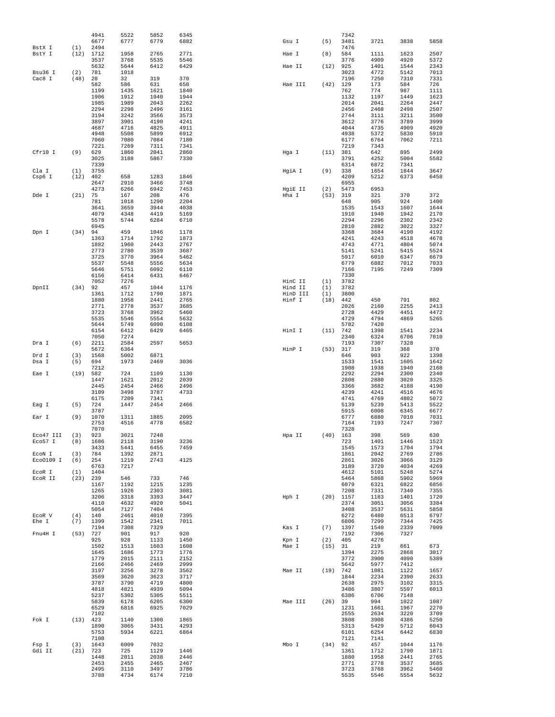|                 |            | 4941<br>6677 | 5522<br>6777 | 5852<br>6779 | 6345<br>6882 | Gsu I              | (5)         | 7342<br>3481 | 3721         | 3838         | 5858         |
|-----------------|------------|--------------|--------------|--------------|--------------|--------------------|-------------|--------------|--------------|--------------|--------------|
| BstX I          | (1)        | 2494         |              |              |              |                    |             | 7476         |              |              |              |
| BstY I          | (12)       | 1712         | 1958         | 2765         | 2771         | Hae I              | (8)         | 584          | 1111         | 1623         | 2507         |
|                 |            | 3537<br>5632 | 3768<br>5644 | 5535<br>6412 | 5546<br>6429 | Hae II             | (12)        | 3776<br>925  | 4909<br>1401 | 4920<br>1544 | 5372<br>2343 |
| Bsu36 I         | (2)        | 781          | 1018         |              |              |                    |             | 3023         | 4772         | 5142         | 7013         |
| Cac8 I          | (48)       | 28           | 32           | 319          | 370          |                    |             | 7196         | 7250         | 7310         | 7331         |
|                 |            | 582          | 586          | 631          | 650          | Hae III            | (42)        | 129          | 173          | 584          | 726          |
|                 |            | 1199         | 1435         | 1621         | 1840         |                    |             | 762          | 774          | 987          | 1111         |
|                 |            | 1906<br>1985 | 1912<br>1989 | 1940<br>2043 | 1944<br>2262 |                    |             | 1132<br>2014 | 1197<br>2041 | 1449<br>2264 | 1623<br>2447 |
|                 |            | 2294         | 2298         | 2496         | 3161         |                    |             | 2456         | 2468         | 2498         | 2507         |
|                 |            | 3194         | 3242         | 3566         | 3573         |                    |             | 2744         | 3111         | 3211         | 3500         |
|                 |            | 3897         | 3901         | 4190         | 4241         |                    |             | 3612         | 3776         | 3789         | 3999         |
|                 |            | 4687<br>4948 | 4716<br>5508 | 4825<br>5899 | 4911<br>6912 |                    |             | 4044<br>4938 | 4735<br>5372 | 4909<br>5830 | 4920<br>5910 |
|                 |            | 7060         | 7080         | 7084         | 7180         |                    |             | 6177         | 6764         | 7062         | 7211         |
|                 |            | 7221         | 7269         | 7311         | 7341         |                    |             | 7219         | 7343         |              |              |
| Cfr10 I         | (9)        | 629          | 1860         | 2041         | 2860         | Hga I              | (11)        | 381          | 642          | 895          | 2499         |
|                 |            | 3025<br>7339 | 3188         | 5867         | 7330         |                    |             | 3791<br>6314 | 4252         | 5004<br>7341 | 5582         |
| Cla I           | (1)        | 3755         |              |              |              | HgiA I             | (9)         | 338          | 6872<br>1654 | 1844         | 3647         |
| Csp6 I          | (12)       | 402          | 658          | 1283         | 1846         |                    |             | 4209         | 5212         | 6373         | 6458         |
|                 |            | 2647         | 2910         | 3466         | 3748         |                    |             | 6955         |              |              |              |
|                 |            | 4273         | 6266         | 6942         | 7453         | HgiE II            | (2)         | 5473         | 6953         |              |              |
| Dde I           | (21)       | 75<br>781    | 167<br>1018  | 208<br>1290  | 476<br>2204  | Hha I              | (53)        | 319<br>648   | 321<br>905   | 370<br>924   | 372<br>1400  |
|                 |            | 3641         | 3659         | 3944         | 4038         |                    |             | 1535         | 1543         | 1607         | 1644         |
|                 |            | 4079         | 4348         | 4419         | 5169         |                    |             | 1910         | 1940         | 1942         | 2170         |
|                 |            | 5578         | 5744         | 6284         | 6710         |                    |             | 2294         | 2296         | 2302         | 2342         |
| Dpn I           | (34)       | 6945<br>94   | 459          | 1046         | 1178         |                    |             | 2810<br>3368 | 2882<br>3684 | 3022<br>4190 | 3327<br>4192 |
|                 |            | 1363         | 1714         | 1792         | 1873         |                    |             | 4241         | 4243         | 4518         | 4678         |
|                 |            | 1882         | 1960         | 2443         | 2767         |                    |             | 4743         | 4771         | 4804         | 5074         |
|                 |            | 2773         | 2780         | 3539         | 3687         |                    |             | 5141         | 5241         | 5415         | 5524         |
|                 |            | 3725<br>5537 | 3770<br>5548 | 3964<br>5556 | 5462<br>5634 |                    |             | 5917<br>6779 | 6010<br>6882 | 6347<br>7012 | 6679<br>7033 |
|                 |            | 5646         | 5751         | 6092         | 6110         |                    |             | 7166         | 7195         | 7249         | 7309         |
|                 |            | 6156         | 6414         | 6431         | 6467         |                    |             | 7330         |              |              |              |
|                 |            | 7052         | 7276         |              |              | HinC II            | (1)         | 3782         |              |              |              |
| DpnII           | (34)       | 92           | 457          | 1044         | 1176         | Hind II            | (1)         | 3782         |              |              |              |
|                 |            | 1361<br>1880 | 1712<br>1958 | 1790<br>2441 | 1871<br>2765 | HinD III<br>Hinf I | (1)<br>(18) | 3800<br>442  | 450          | 791          | 802          |
|                 |            | 2771         | 2778         | 3537         | 3685         |                    |             | 2026         | 2160         | 2255         | 2413         |
|                 |            | 3723         | 3768         | 3962         | 5460         |                    |             | 2728         | 4429         | 4451         | 4472         |
|                 |            | 5535         | 5546         | 5554         | 5632         |                    |             | 4729         | 4794         | 4869         | 5265         |
|                 |            | 5644<br>6154 | 5749<br>6412 | 6090<br>6429 | 6108<br>6465 | HinI I             | (11)        | 5782<br>742  | 7420<br>1398 | 1541         | 2234         |
|                 |            | 7050         | 7274         |              |              |                    |             | 2340         | 6324         | 6706         | 7010         |
| Dra I           | (6)        | 2211         | 2584         | 2597         | 5653         |                    |             | 7193         | 7307         | 7328         |              |
|                 |            | 5672         | 6364         |              |              | HinP I             | (53)        | 317          | 319          | 368          | 370          |
| Drd I<br>Dsa I  | (3)<br>(5) | 1568<br>694  | 5002<br>1973 | 6871<br>2469 | 3036         |                    |             | 646<br>1533  | 903<br>1541  | 922<br>1605  | 1398<br>1642 |
|                 |            | 7212         |              |              |              |                    |             | 1908         | 1938         | 1940         | 2168         |
| Eae I           | (19)       | 582          | 724          | 1109         | 1130         |                    |             | 2292         | 2294         | 2300         | 2340         |
|                 |            | 1447         | 1621         | 2012         | 2039         |                    |             | 2808         | 2880         | 3020         | 3325         |
|                 |            | 2445<br>3109 | 2454<br>3498 | 2466<br>3787 | 2496<br>4733 |                    |             | 3366<br>4239 | 3682<br>4241 | 4188<br>4516 | 4190<br>4676 |
|                 |            | 6175         | 7209         | 7341         |              |                    |             | 4741         | 4769         | 4802         | 5072         |
| Eag I           | (5)        | 724          | 1447         | 2454         | 2466         |                    |             | 5139         | 5239         | 5413         | 5522         |
|                 |            | 3787         |              |              |              |                    |             | 5915         | 6008         | 6345         | 6677         |
| Ear I           | (9)        | 1070<br>2753 | 1311<br>4516 | 1885<br>4778 | 2095<br>6582 |                    |             | 6777<br>7164 | 6880<br>7193 | 7010<br>7247 | 7031<br>7307 |
|                 |            | 7070         |              |              |              |                    |             | 7328         |              |              |              |
| Eco47 III       | (3)        | 923          | 3021         | 7248         |              | Hpa II             | (40)        | 163          | 398          | 569          | 630          |
| Eco57 I         | (8)        | 1686         | 2118         | 3190         | 3236         |                    |             | 723          | 1401         | 1446         | 1523         |
| ECON I          | (3)        | 3433<br>784  | 5441<br>1392 | 6455<br>2871 | 7459         |                    |             | 1545<br>1861 | 1573<br>2042 | 1704<br>2769 | 1794<br>2786 |
| Eco0109 I       | (6)        | 254          | 1219         | 2743         | 4125         |                    |             | 2861         | 3026         | 3066         | 3129         |
|                 |            | 6763         | 7217         |              |              |                    |             | 3189         | 3720         | 4034         | 4269         |
| ECOR I          | (1)        | 1404         |              |              |              |                    |             | 4612         | 5101         | 5248         | 5274         |
| ECOR II         | $(23)$ 239 | 1167         | 546<br>1192  | 733<br>1215  | 746<br>1235  |                    |             | 5464<br>6079 | 5868<br>6321 | 5902<br>6822 | 5969<br>6856 |
|                 |            | 1265         | 1926         | 2303         | 3081         |                    |             | 7208         | 7331         | 7340         | 7355         |
|                 |            | 3206         | 3318         | 3393         | 3447         | Hph I              | (20)        | 1157         | 1183         | 1401         | 1720         |
|                 |            | 4110         | 4632         | 4920         | 5041         |                    |             | 2374         | 3051         | 3056         | 3384         |
|                 |            | 5054         | 7127         | 7404         |              |                    |             | 3408         | 3537         | 5631         | 5858         |
| ECOR V<br>Ehe I | (4)<br>(7) | 140<br>1399  | 2461<br>1542 | 4010<br>2341 | 7395<br>7011 |                    |             | 6272<br>6806 | 6480<br>7299 | 6513<br>7344 | 6797<br>7425 |
|                 |            | 7194         | 7308         | 7329         |              | Kas I              | (7)         | 1397         | 1540         | 2339         | 7009         |
| Fnu4H I         | (53)       | 727          | 901          | 917          | 920          |                    |             | 7192         | 7306         | 7327         |              |
|                 |            | 925          | 928          | 1133         | 1450<br>1608 | Kpn I              | (2)         | 405          | 4276         |              | 673          |
|                 |            | 1502<br>1645 | 1513<br>1686 | 1603<br>1773 | 1776         | Mae I              | (15)        | 31<br>1394   | 219<br>2275  | 661<br>2868  | 3017         |
|                 |            | 1779         | 2015         | 2111         | 2152         |                    |             | 3772         | 3900         | 4090         | 5389         |
|                 |            | 2166         | 2466         | 2469         | 2999         |                    |             | 5642         | 5977         | 7412         |              |
|                 |            | 3197         | 3256         | 3278         | 3562         | Mae II             | (19)        | 742          | 1081         | 1122         | 1657         |
|                 |            | 3569<br>3787 | 3620<br>3790 | 3623<br>4719 | 3717<br>4800 |                    |             | 1844<br>2638 | 2234<br>2975 | 2390<br>3102 | 2633<br>3315 |
|                 |            | 4818         | 4821         | 4939         | 5094         |                    |             | 3486         | 3807         | 5597         | 6013         |
|                 |            | 5237         | 5302         | 5305         | 5511         |                    |             | 6386         | 6706         | 7148         |              |
|                 |            | 5839         | 6178         | 6205         | 6300         | Mae III            | (26)        | 39           | 994          | 1022         | 1087         |
|                 |            | 6529<br>7102 | 6816         | 6925         | 7029         |                    |             | 1231<br>2555 | 1661<br>2634 | 1967<br>3220 | 2270<br>3709 |
| Fok I           | (13)       | 423          | 1140         | 1300         | 1865         |                    |             | 3808         | 3908         | 4386         | 5250         |
|                 |            | 1890         | 3065         | 3431         | 4293         |                    |             | 5313         | 5429         | 5712         | 6043         |
|                 |            | 5753         | 5934         | 6221         | 6864         |                    |             | 6101         | 6254         | 6442         | 6830         |
| Fsp I           | (3)        | 7108<br>1643 | 6009         | 7032         |              | Mbo I              | $(34)$ 92   | 7121         | 7141<br>457  | 1044         | 1176         |
| Gdi II          | (21)       | 723          | 725          | 1129         | 1446         |                    |             | 1361         | 1712         | 1790         | 1871         |
|                 |            | 1448         | 2011         | 2038         | 2446         |                    |             | 1880         | 1958         | 2441         | 2765         |
|                 |            | 2453         | 2455         | 2465         | 2467         |                    |             | 2771         | 2778         | 3537         | 3685         |
|                 |            | 2495         | 3110         | 3497         | 3786         |                    |             | 3723         | 3768         | 3962         | 5460         |
|                 |            | 3788         | 4734         | 6174         | 7210         |                    |             | 5535         | 5546         | 5554         | 5632         |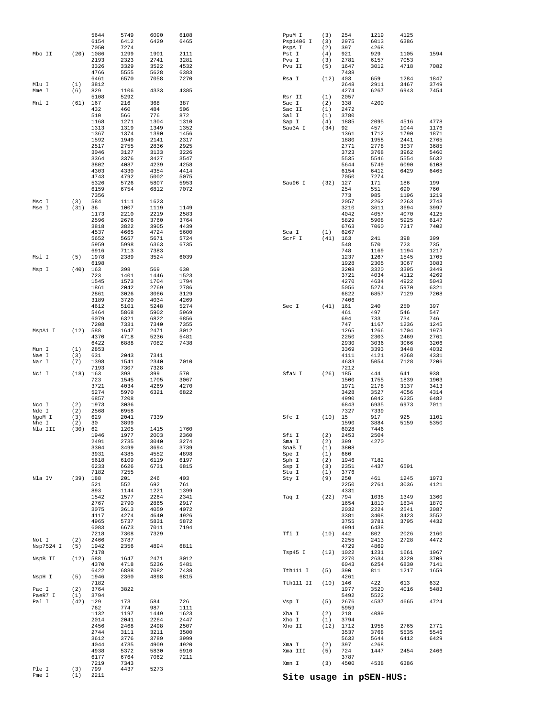| Pme I              | (1)         | 2211                |                      |              |              |                  |             |              | Site usage in pSEN-HUS: |              |              |
|--------------------|-------------|---------------------|----------------------|--------------|--------------|------------------|-------------|--------------|-------------------------|--------------|--------------|
| Ple I              | (3)         | 6177<br>7219<br>799 | 6764<br>7343<br>4437 | 7062<br>5273 | 7211         | Xmn I            | (3)         | 3787<br>4500 | 4538                    | 6386         |              |
|                    |             | 4044<br>4938        | 4735<br>5372         | 4909<br>5830 | 4920<br>5910 | Xma I<br>Xma III | (2)<br>(5)  | 397<br>724   | 4268<br>1447            | 2454         | 2466         |
|                    |             | 2744<br>3612        | 3111<br>3776         | 3211<br>3789 | 3500<br>3999 |                  |             | 3537<br>5632 | 3768<br>5644            | 5535<br>6412 | 5546<br>6429 |
|                    |             | 2014<br>2456        | 2041<br>2468         | 2264<br>2498 | 2447<br>2507 | Xho I<br>Xho II  | (1)<br>(12) | 3794<br>1712 | 1958                    | 2765         | 2771         |
|                    |             | 762<br>1132         | 774<br>1197          | 987<br>1449  | 1111<br>1623 | Xba I            | (2)         | 5959<br>218  | 4089                    |              |              |
| Pal I              | (42)        | 129                 | 173                  | 584          | 726          | Vsp I            | (5)         | 2676         | 4537                    | 4665         | 4724         |
| Pac I<br>PaeR7 I   | (2)<br>(1)  | 3764<br>3794        | 3822                 |              |              |                  |             | 1977<br>5492 | 3520<br>5522            | 4016         | 5483         |
| NspH I             | (5)         | 1946<br>7182        | 2360                 | 4898         | 6815         | Tth111 II        | (10)        | 4261<br>146  | 422                     | 613          | 632          |
|                    |             | 6422                | 6888                 | 7082         | 7438         | Tth111 I         | (5)         | 390          | 811                     | 1217         | 1659         |
| NspB II            | (12)        | 588<br>4370         | 1647<br>4718         | 2471<br>5236 | 3012<br>5481 |                  |             | 2270<br>6043 | 2634<br>6254            | 3220<br>6830 | 3709<br>7141 |
|                    |             | 7178                |                      |              |              | Tsp45 I          | (12)        | 1022         | 1231                    | 1661         | 1967         |
| Not I<br>Nsp7524 I | (2)<br>(5)  | 2466<br>1942        | 3787<br>2356         | 4894         | 6811         |                  |             | 2255<br>4729 | 2413<br>4869            | 2728         | 4472         |
|                    |             | 7218                | 7308                 | 7329         |              | Tfi I            | (10)        | 442          | 802                     | 2026         | 2160         |
|                    |             | 4965<br>6083        | 5737<br>6673         | 5831<br>7011 | 5872<br>7194 |                  |             | 3755<br>4994 | 3781<br>6438            | 3795         | 4432         |
|                    |             | 4117                | 4274                 | 4640         | 4926         |                  |             | 3381         | 3408                    | 3423         | 3552         |
|                    |             | 2767<br>3075        | 2790<br>3613         | 2865<br>4059 | 2917<br>4072 |                  |             | 1654<br>2032 | 1810<br>2224            | 1834<br>2541 | 1870<br>3087 |
|                    |             | 1542                | 1577                 | 2264         | 2341         | Taq I            | (22)        | 794          | 1038                    | 1349         | 1360         |
|                    |             | 521<br>893          | 552<br>1144          | 692<br>1221  | 761<br>1399  |                  |             | 2250<br>4331 | 2761                    | 3036         | 4121         |
| Nla IV             | (39)        | 188                 | 201                  | 246          | 403          | Sty I            | (9)         | 250          | 461                     | 1245         | 1973         |
|                    |             | 6233<br>7182        | 6626<br>7255         | 6731         | 6815         | Ssp I<br>Stu I   | (3)<br>(1)  | 2351<br>3776 | 4437                    | 6591         |              |
|                    |             | 5618                | 6109                 | 6119         | 6197         | Sph I            | (2)         | 1946         | 7182                    |              |              |
|                    |             | 3304<br>3931        | 3499<br>4385         | 3694<br>4552 | 3739<br>4898 | SnaB I<br>Spe I  | (1)<br>(1)  | 3808<br>660  |                         |              |              |
|                    |             | 2491                | 2735                 | 3040         | 3274         | Sma I            | (2)         | 399          | 4270                    |              |              |
| Nla III            | (30)        | 62<br>1946          | 1205<br>1977         | 1415<br>2003 | 1760<br>2360 | Sfi I            | (2)         | 6028<br>2453 | 7446<br>2504            |              |              |
| NgoM I<br>Nhe I    | (3)<br>(2)  | 629<br>30           | 2041<br>3899         | 7339         |              | Sfc I            | (10)        | 15<br>1590   | 917<br>3884             | 925<br>5159  | 1101<br>5350 |
| Nde I              | (2)         | 2568                | 6958                 |              |              |                  |             | 7327         | 7339                    |              |              |
| Nco I              | (2)         | 6857<br>1973        | 7208<br>3036         |              |              |                  |             | 4990<br>6843 | 6042<br>6935            | 6235<br>6973 | 6482<br>7011 |
|                    |             | 5274                | 5970                 | 6321         | 6822         |                  |             | 3428         | 3527                    | 4056         | 4314         |
|                    |             | 723<br>3721         | 1545<br>4034         | 1705<br>4269 | 3067<br>4270 |                  |             | 1500<br>1971 | 1755<br>2178            | 1839<br>3137 | 1903<br>3413 |
| Nci I              | (18)        | 163                 | 398                  | 399          | 570          | SfaN I           | (26)        | 185          | 444                     | 641          | 938          |
| Nar I              | (7)         | 1398<br>7193        | 1541<br>7307         | 2340<br>7328 | 7010         |                  |             | 4633<br>7212 | 5054                    | 7128         | 7206         |
| Nae I              | (3)         | 631                 | 2043                 | 7341         |              |                  |             | 4111         | 4121                    | 4268         | 4331         |
| Mun I              | (1)         | 6422<br>2853        | 6888                 | 7082         | 7438         |                  |             | 2930<br>3369 | 3036<br>3393            | 3066<br>3448 | 3206<br>4032 |
|                    |             | 4370                | 4718                 | 5236         | 5481         |                  |             | 2250         | 2303                    | 2469         | 2761         |
| MspAl I            | (12)        | 7208<br>588         | 7331<br>1647         | 7340<br>2471 | 7355<br>3012 |                  |             | 747<br>1265  | 1167<br>1266            | 1236<br>1704 | 1245<br>1973 |
|                    |             | 6079                | 6321                 | 6822         | 6856         |                  |             | 694          | 733                     | 734          | 746          |
|                    |             | 4612<br>5464        | 5101<br>5868         | 5248<br>5902 | 5274<br>5969 | Sec I            | (41)        | 161<br>461   | 240<br>497              | 250<br>546   | 397<br>547   |
|                    |             | 3189                | 3720                 | 4034         | 4269         |                  |             | 7406         |                         |              |              |
|                    |             | 1861<br>2861        | 2042<br>3026         | 2769<br>3066 | 2786<br>3129 |                  |             | 5056<br>6822 | 5274<br>6857            | 5970<br>7129 | 6321<br>7208 |
|                    |             | 1545                | 1573                 | 1704         | 1794         |                  |             | 4270         | 4634                    | 4922         | 5043         |
| Msp I              | (40)        | 163<br>723          | 398<br>1401          | 569<br>1446  | 630<br>1523  |                  |             | 3208<br>3721 | 3320<br>4034            | 3395<br>4112 | 3449<br>4269 |
|                    |             | 6198                |                      |              |              |                  |             | 1928         | 2305                    | 3067         | 3083         |
| Msl I              | (5)         | 6916<br>1978        | 7113<br>2389         | 7383<br>3524 | 6039         |                  |             | 748<br>1237  | 1169<br>1267            | 1194<br>1545 | 1217<br>1705 |
|                    |             | 5652<br>5959        | 5657<br>5998         | 5671<br>6363 | 5724<br>6735 | ScrF I           | (41)        | 163<br>548   | 241<br>570              | 398<br>723   | 399<br>735   |
|                    |             | 4537                | 4665                 | 4724         | 5600         | Sca I            | (1)         | 6267         |                         |              |              |
|                    |             | 2596<br>3818        | 2676<br>3822         | 3760<br>3905 | 3764<br>4439 |                  |             | 5829<br>6763 | 5908<br>7060            | 5925<br>7217 | 6147<br>7402 |
|                    |             | 1173                | 2210                 | 2219         | 2583         |                  |             | 4042         | 4057                    | 4070         | 4125         |
| Msc I<br>Mse I     | (3)<br>(31) | 584<br>36           | 1111<br>1007         | 1623<br>1119 | 1149         |                  |             | 2057<br>3210 | 2262<br>3611            | 2263<br>3694 | 2743<br>3997 |
|                    |             | 7356                |                      |              |              |                  |             | 773          | 985                     | 1196         | 1219         |
|                    |             | 5326<br>6159        | 5726<br>6754         | 5807<br>6812 | 5953<br>7072 | Sau96 I          | (32)        | 127<br>254   | 171<br>551              | 186<br>690   | 199<br>760   |
|                    |             | 4303<br>4743        | 4792                 | 5002         | 5075         |                  |             | 6154<br>7050 | 6412<br>7274            |              |              |
|                    |             | 3802                | 4087<br>4330         | 4239<br>4354 | 4258<br>4414 |                  |             | 5644         | 5749                    | 6090<br>6429 | 6108<br>6465 |
|                    |             | 3046<br>3364        | 3127<br>3376         | 3133<br>3427 | 3226<br>3547 |                  |             | 3723<br>5535 | 3768<br>5546            | 3962<br>5554 | 5460<br>5632 |
|                    |             | 2517                | 2755                 | 2836         | 2925         |                  |             | 2771         | 2778                    | 3537         | 3685         |
|                    |             | 1367<br>1592        | 1374<br>1949         | 1390<br>2141 | 1456<br>2317 |                  |             | 1361<br>1880 | 1712<br>1958            | 1790<br>2441 | 1871<br>2765 |
|                    |             | 1313                | 1319                 | 1349         | 1352         | Sau3A I          | (34)        | 92           | 457                     | 1044         | 1176         |
|                    |             | 510<br>1168         | 566<br>1271          | 776<br>1304  | 872<br>1310  | Sal I<br>Sap I   | (1)<br>(4)  | 3780<br>1885 | 2095                    | 4516         | 4778         |
|                    |             | 432                 | 460                  | 484          | 506          | Sac II           | (1)         | 2472         |                         |              |              |
| Mnl I              | (61)        | 5108<br>167         | 5292<br>216          | 368          | 387          | Rsr II<br>Sac I  | (1)<br>(2)  | 2057<br>338  | 4209                    |              |              |
| Mme I              | (6)         | 829                 | 1106                 | 4333         | 4385         |                  |             | 4274         | 6267                    | 6943         | 7454         |
| Mlu I              | (1)         | 6461<br>3812        | 6570                 | 7058         | 7270         | Rsa I            | (12)        | 403<br>2648  | 659<br>2911             | 1284<br>3467 | 1847<br>3749 |
|                    |             | 3326<br>4766        | 3329<br>5555         | 3522<br>5628 | 4532<br>6383 | Pvu II           | (5)         | 1647<br>7438 | 3012                    | 4718         | 7082         |
|                    |             | 2193                | 2323                 | 2741         | 3281         | Pvu I            | (3)         | 2781         | 6157                    | 7053         |              |
| Mbo II             | (20)        | 7050<br>1086        | 7274<br>1299         | 1901         | 2111         | PspA I<br>Pst I  | (2)<br>(4)  | 397<br>921   | 4268<br>929             | 1105         | 1594         |
|                    |             | 6154                | 6412                 | 6429         | 6465         | Psp1406 I        | (3)         | 2975         | 6013                    | 6386         |              |
|                    |             | 5644                | 5749                 | 6090         | 6108         | PpuM I           | (3)         | 254          | 1219                    | 4125         |              |